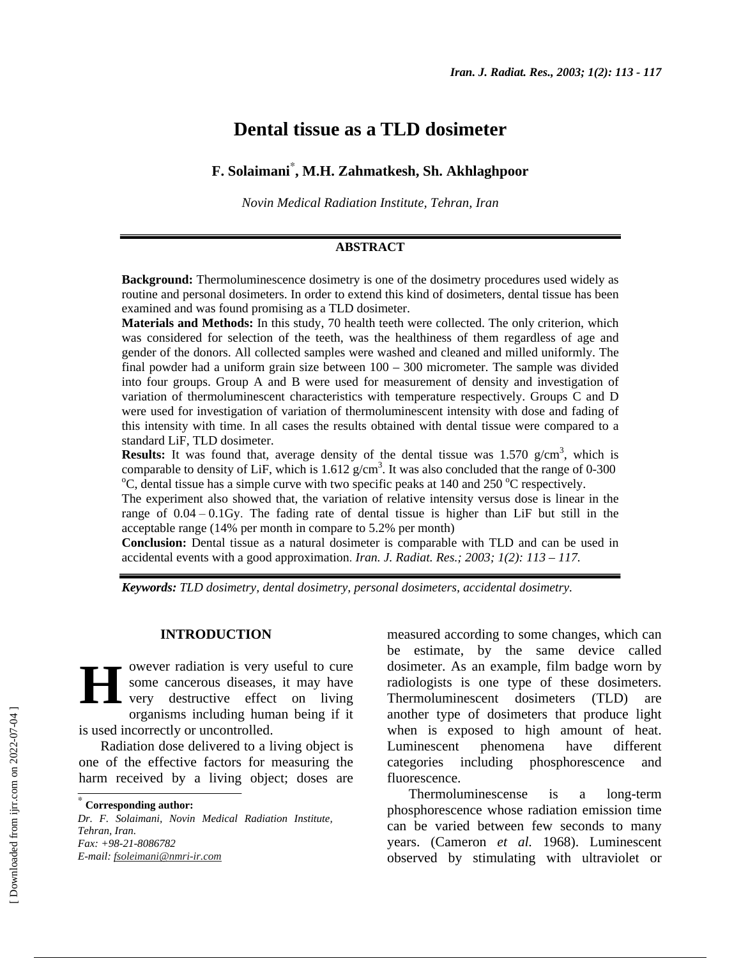# **Dental tissue as a TLD dosimeter**

# **F. Solaimani**<sup>∗</sup> **, M.H. Zahmatkesh, Sh. Akhlaghpoor**

*Novin Medical Radiation Institute, Tehran, Iran*

#### **ABSTRACT**

**Background:** Thermoluminescence dosimetry is one of the dosimetry procedures used widely as routine and personal dosimeters. In order to extend this kind of dosimeters, dental tissue has been examined and was found promising as a TLD dosimeter.

**Materials and Methods:** In this study, 70 health teeth were collected. The only criterion, which was considered for selection of the teeth, was the healthiness of them regardless of age and gender of the donors. All collected samples were washed and cleaned and milled uniformly. The final powder had a uniform grain size between  $100 - 300$  micrometer. The sample was divided into four groups. Group A and B were used for measurement of density and investigation of variation of thermoluminescent characteristics with temperature respectively. Groups C and D were used for investigation of variation of thermoluminescent intensity with dose and fading of this intensity with time. In all cases the results obtained with dental tissue were compared to a standard LiF, TLD dosimeter.

**Results:** It was found that, average density of the dental tissue was  $1.570$  g/cm<sup>3</sup>, which is comparable to density of LiF, which is  $1.612$  g/cm<sup>3</sup>. It was also concluded that the range of 0-300<br><sup>o</sup>C dental tissue has a simple surve with two specific peaks at 140 and 250 <sup>o</sup>C perpectively. C, dental tissue has a simple curve with two specific peaks at 140 and 250  $^{\circ}$ C respectively.

The experiment also showed that, the variation of relative intensity versus dose is linear in the range of  $0.04 - 0.1$  Gy. The fading rate of dental tissue is higher than LiF but still in the acceptable range (14% per month in compare to 5.2% per month)

**Conclusion**: Dental tissue as a natural dosimeter is comparable with TLD and can be used in accidental events with a good approximation. *Iran. J. Radiat. Res.; 2003; 1(2): 113 – 117.*

*Keywords: TLD dosimetry, dental dosimetry, personal dosimeters, accidental dosimetry.*

#### **INTRODUCTION**

owever radiation is very useful to cure some cancerous diseases, it may have very destructive effect on living organisms including human being if it is used incorrectly or uncontrolled. **H**

Radiation dose delivered to a living object is one of the effective factors for measuring the harm received by a living object; doses are

*Dr. F. Solaimani, Novin Medical Radiation Institute, Tehran, Iran. Fax: +98-21-8086782 E-mail: fsoleimani@nmri-ir.com*

measured according to some changes, which can be estimate, by the same device called dosimeter. As an example, film badge worn by radiologists is one type of these dosimeters. Thermoluminescent dosimeters (TLD) are another type of dosimeters that produce light when is exposed to high amount of heat. Luminescent phenomena have different categories including phosphorescence and fluorescence.

Thermoluminescense is a long-term phosphorescence whose radiation emission time can be varied between few seconds to many years. (Cameron *et al.* 1968). Luminescent observed by stimulating with ultraviolet or

<sup>∗</sup>  **Corresponding author:**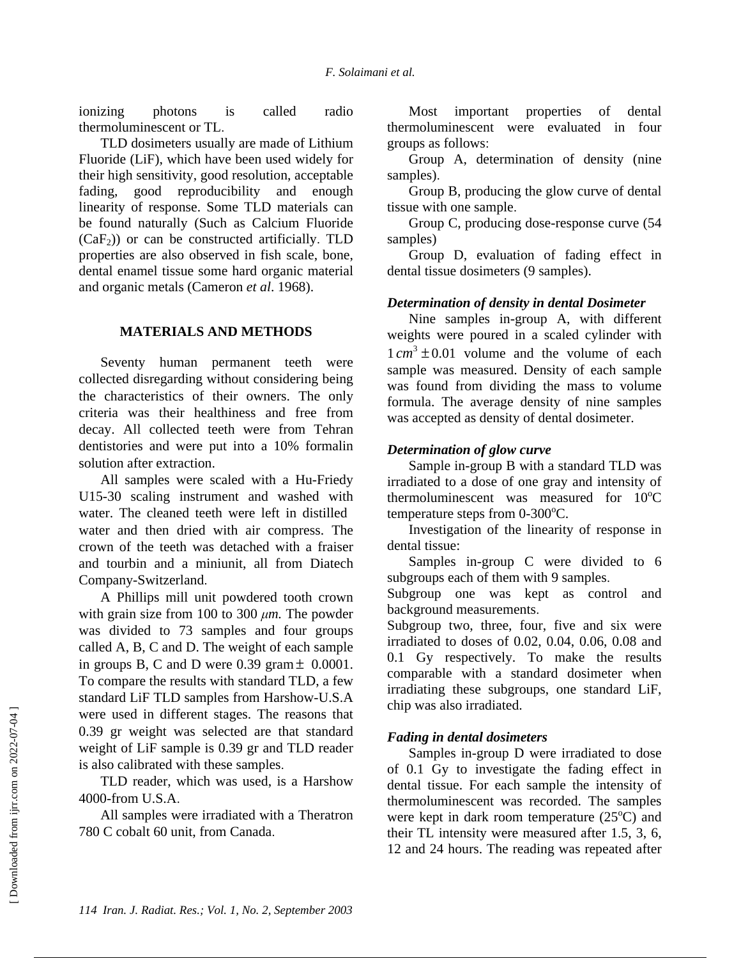ionizing photons is called radio thermoluminescent or TL.

TLD dosimeters usually are made of Lithium Fluoride (LiF), which have been used widely for their high sensitivity, good resolution, acceptable fading, good reproducibility and enough linearity of response. Some TLD materials can be found naturally (Such as Calcium Fluoride  $(CaF<sub>2</sub>)$  or can be constructed artificially. TLD properties are also observed in fish scale, bone, dental enamel tissue some hard organic material and organic metals (Cameron *et al*. 1968).

#### **MATERIALS AND METHODS**

Seventy human permanent teeth were collected disregarding without considering being the characteristics of their owners. The only criteria was their healthiness and free from decay. All collected teeth were from Tehran dentistories and were put into a 10% formalin solution after extraction.

All samples were scaled with a Hu-Friedy U15-30 scaling instrument and washed with water. The cleaned teeth were left in distilled water and then dried with air compress. The crown of the teeth was detached with a fraiser and tourbin and a miniunit, all from Diatech Company-Switzerland.

A Phillips mill unit powdered tooth crown with grain size from 100 to 300  $\mu$ *m*. The powder was divided to 73 samples and four groups called A, B, C and D. The weight of each sample in groups B, C and D were  $0.39$  gram  $\pm$  0.0001. To compare the results with standard TLD, a few standard LiF TLD samples from Harshow-U.S.A were used in different stages. The reasons that 0.39 gr weight was selected are that standard weight of LiF sample is 0.39 gr and TLD reader is also calibrated with these samples.

TLD reader, which was used, is a Harshow 4000-from U.S.A.

All samples were irradiated with a Theratron 780 C cobalt 60 unit, from Canada.

Most important properties of dental thermoluminescent were evaluated in four groups as follows:

Group A, determination of density (nine samples).

Group B, producing the glow curve of dental tissue with one sample.

Group C, producing dose-response curve (54 samples)

Group D, evaluation of fading effect in dental tissue dosimeters (9 samples).

## *Determination of density in dental Dosimeter*

Nine samples in-group A, with different weights were poured in a scaled cylinder with  $1 cm<sup>3</sup> \pm 0.01$  volume and the volume of each sample was measured. Density of each sample was found from dividing the mass to volume formula. The average density of nine samples was accepted as density of dental dosimeter.

#### *Determination of glow curve*

Sample in-group B with a standard TLD was irradiated to a dose of one gray and intensity of thermoluminescent was measured for  $10^{\circ}$ C temperature steps from  $0\n-300^{\circ}\text{C}$ .

Investigation of the linearity of response in dental tissue:

Samples in-group C were divided to 6 subgroups each of them with 9 samples.

Subgroup one was kept as control and background measurements.

Subgroup two, three, four, five and six were irradiated to doses of 0.02, 0.04, 0.06, 0.08 and 0.1 Gy respectively. To make the results comparable with a standard dosimeter when irradiating these subgroups, one standard LiF, chip was also irradiated.

## *Fading in dental dosimeters*

Samples in-group D were irradiated to dose of 0.1 Gy to investigate the fading effect in dental tissue. For each sample the intensity of thermoluminescent was recorded. The samples were kept in dark room temperature  $(25^{\circ}C)$  and their TL intensity were measured after 1.5, 3, 6, 12 and 24 hours. The reading was repeated after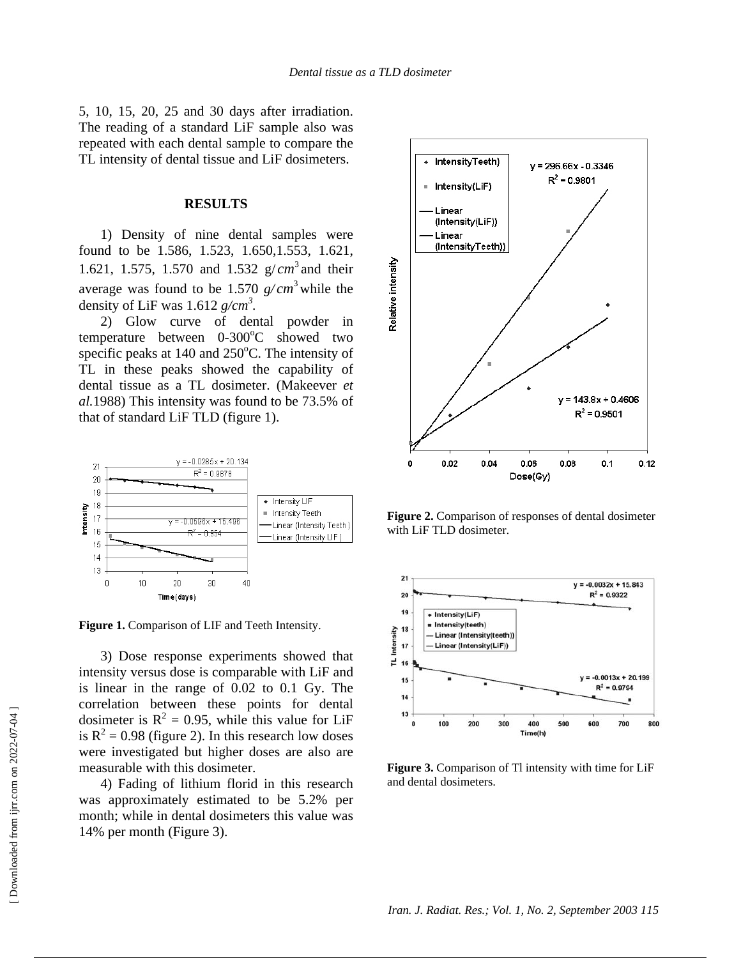5, 10, 15, 20, 25 and 30 days after irradiation. The reading of a standard LiF sample also was repeated with each dental sample to compare the TL intensity of dental tissue and LiF dosimeters.

#### **RESULTS**

1) Density of nine dental samples were found to be 1.586, 1.523, 1.650,1.553, 1.621, 1.621, 1.575, 1.570 and 1.532  $g/cm^3$  and their average was found to be 1.570  $g/cm^3$  while the density of LiF was  $1.612$   $g/cm^3$ .

2) Glow curve of dental powder in temperature between 0-300°C showed two specific peaks at  $140$  and  $250^{\circ}$ C. The intensity of TL in these peaks showed the capability of dental tissue as a TL dosimeter. (Makeever *et al.*1988) This intensity was found to be 73.5% of that of standard LiF TLD (figure 1).



**Figure 1.** Comparison of LIF and Teeth Intensity.

3) Dose response experiments showed that intensity versus dose is comparable with LiF and is linear in the range of 0.02 to 0.1 Gy. The correlation between these points for dental dosimeter is  $R^2 = 0.95$ , while this value for LiF is  $R^2 = 0.98$  (figure 2). In this research low doses were investigated but higher doses are also are measurable with this dosimeter.

4) Fading of lithium florid in this research was approximately estimated to be 5.2% per month; while in dental dosimeters this value was 14% per month (Figure 3).



**Figure 2.** Comparison of responses of dental dosimeter with LiF TLD dosimeter.



**Figure 3.** Comparison of Tl intensity with time for LiF and dental dosimeters.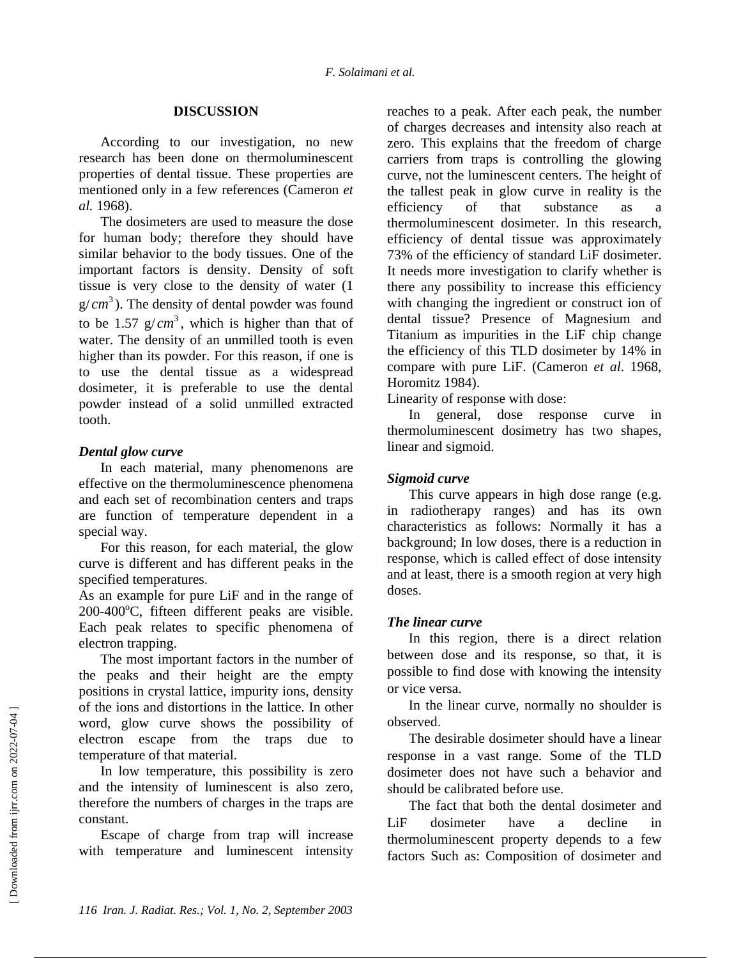#### **DISCUSSION**

According to our investigation, no new research has been done on thermoluminescent properties of dental tissue. These properties are mentioned only in a few references (Cameron *et al.* 1968).

The dosimeters are used to measure the dose for human body; therefore they should have similar behavior to the body tissues. One of the important factors is density. Density of soft tissue is very close to the density of water (1  $g/cm<sup>3</sup>$ ). The density of dental powder was found to be 1.57  $g/cm^3$ , which is higher than that of water. The density of an unmilled tooth is even higher than its powder. For this reason, if one is to use the dental tissue as a widespread dosimeter, it is preferable to use the dental powder instead of a solid unmilled extracted tooth.

#### *Dental glow curve*

In each material, many phenomenons are effective on the thermoluminescence phenomena and each set of recombination centers and traps are function of temperature dependent in a special way.

For this reason, for each material, the glow curve is different and has different peaks in the specified temperatures.

As an example for pure LiF and in the range of 200-400°C, fifteen different peaks are visible. Each peak relates to specific phenomena of electron trapping.

The most important factors in the number of the peaks and their height are the empty positions in crystal lattice, impurity ions, density of the ions and distortions in the lattice. In other word, glow curve shows the possibility of electron escape from the traps due to temperature of that material.

In low temperature, this possibility is zero and the intensity of luminescent is also zero, therefore the numbers of charges in the traps are constant.

Escape of charge from trap will increase with temperature and luminescent intensity reaches to a peak. After each peak, the number of charges decreases and intensity also reach at zero. This explains that the freedom of charge carriers from traps is controlling the glowing curve, not the luminescent centers. The height of the tallest peak in glow curve in reality is the efficiency of that substance as a thermoluminescent dosimeter. In this research, efficiency of dental tissue was approximately 73% of the efficiency of standard LiF dosimeter. It needs more investigation to clarify whether is there any possibility to increase this efficiency with changing the ingredient or construct ion of dental tissue? Presence of Magnesium and Titanium as impurities in the LiF chip change the efficiency of this TLD dosimeter by 14% in compare with pure LiF. (Cameron *et al*. 1968, Horomitz 1984).

Linearity of response with dose:

In general, dose response curve in thermoluminescent dosimetry has two shapes, linear and sigmoid.

# *Sigmoid curve*

This curve appears in high dose range (e.g. in radiotherapy ranges) and has its own characteristics as follows: Normally it has a background; In low doses, there is a reduction in response, which is called effect of dose intensity and at least, there is a smooth region at very high doses.

## *The linear curve*

In this region, there is a direct relation between dose and its response, so that, it is possible to find dose with knowing the intensity or vice versa.

In the linear curve, normally no shoulder is observed.

The desirable dosimeter should have a linear response in a vast range. Some of the TLD dosimeter does not have such a behavior and should be calibrated before use.

The fact that both the dental dosimeter and LiF dosimeter have a decline in thermoluminescent property depends to a few factors Such as: Composition of dosimeter and